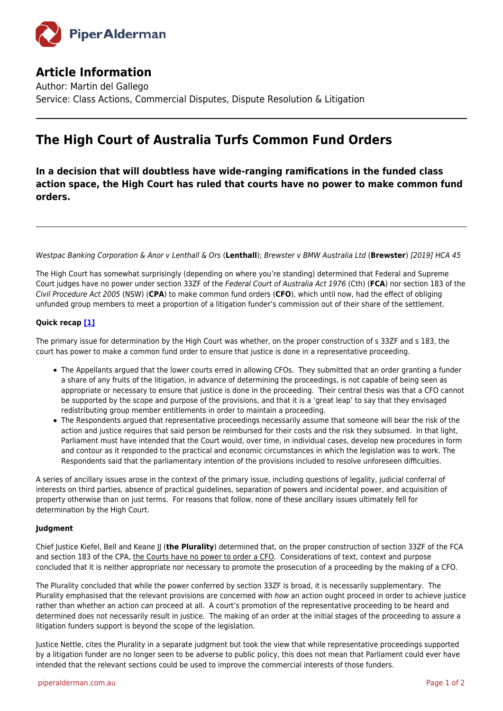

## **Article Information**

Author: Martin del Gallego Service: Class Actions, Commercial Disputes, Dispute Resolution & Litigation

# **The High Court of Australia Turfs Common Fund Orders**

**In a decision that will doubtless have wide-ranging ramifications in the funded class action space, the High Court has ruled that courts have no power to make common fund orders.**

Westpac Banking Corporation & Anor v Lenthall & Ors (**Lenthall**); Brewster v BMW Australia Ltd (**Brewster**) [2019] HCA 45

The High Court has somewhat surprisingly (depending on where you're standing) determined that Federal and Supreme Court judges have no power under section 33ZF of the Federal Court of Australia Act 1976 (Cth) (**FCA**) nor section 183 of the Civil Procedure Act 2005 (NSW) (**CPA**) to make common fund orders (**CFO**), which until now, had the effect of obliging unfunded group members to meet a proportion of a litigation funder's commission out of their share of the settlement.

### <span id="page-0-0"></span>**Quick recap [\[1\]](#page-1-0)**

The primary issue for determination by the High Court was whether, on the proper construction of s 33ZF and s 183, the court has power to make a common fund order to ensure that justice is done in a representative proceeding.

- The Appellants argued that the lower courts erred in allowing CFOs. They submitted that an order granting a funder a share of any fruits of the litigation, in advance of determining the proceedings, is not capable of being seen as appropriate or necessary to ensure that justice is done in the proceeding. Their central thesis was that a CFO cannot be supported by the scope and purpose of the provisions, and that it is a 'great leap' to say that they envisaged redistributing group member entitlements in order to maintain a proceeding.
- The Respondents argued that representative proceedings necessarily assume that someone will bear the risk of the action and justice requires that said person be reimbursed for their costs and the risk they subsumed. In that light, Parliament must have intended that the Court would, over time, in individual cases, develop new procedures in form and contour as it responded to the practical and economic circumstances in which the legislation was to work. The Respondents said that the parliamentary intention of the provisions included to resolve unforeseen difficulties.

A series of ancillary issues arose in the context of the primary issue, including questions of legality, judicial conferral of interests on third parties, absence of practical guidelines, separation of powers and incidental power, and acquisition of property otherwise than on just terms. For reasons that follow, none of these ancillary issues ultimately fell for determination by the High Court.

### **Judgment**

Chief Justice Kiefel, Bell and Keane JJ (**the Plurality**) determined that, on the proper construction of section 33ZF of the FCA and section 183 of the CPA, the Courts have no power to order a CFO. Considerations of text, context and purpose concluded that it is neither appropriate nor necessary to promote the prosecution of a proceeding by the making of a CFO.

The Plurality concluded that while the power conferred by section 33ZF is broad, it is necessarily supplementary. The Plurality emphasised that the relevant provisions are concerned with how an action ought proceed in order to achieve justice rather than whether an action can proceed at all. A court's promotion of the representative proceeding to be heard and determined does not necessarily result in justice. The making of an order at the initial stages of the proceeding to assure a litigation funders support is beyond the scope of the legislation.

Justice Nettle, cites the Plurality in a separate judgment but took the view that while representative proceedings supported by a litigation funder are no longer seen to be adverse to public policy, this does not mean that Parliament could ever have intended that the relevant sections could be used to improve the commercial interests of those funders.